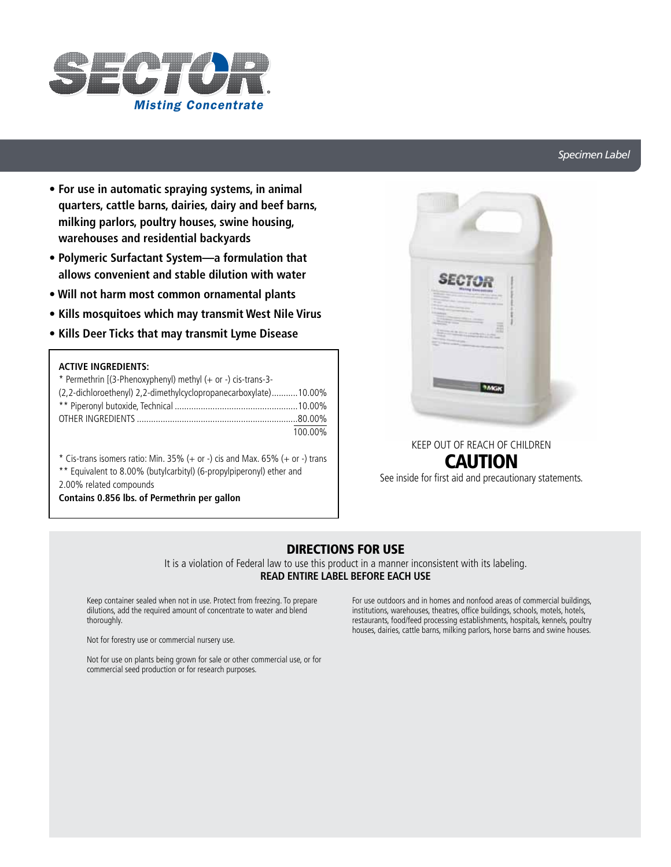

## *Specimen Label*

- **For use in automatic spraying systems, in animal quarters, cattle barns, dairies, dairy and beef barns, milking parlors, poultry houses, swine housing, warehouses and residential backyards**
- **Polymeric Surfactant System—a formulation that allows convenient and stable dilution with water**
- **Will not harm most common ornamental plants**
- **Kills mosquitoes which may transmit West Nile Virus**
- **Kills Deer Ticks that may transmit Lyme Disease**

## **ACTIVE INGREDIENTS:**

| * Permethrin $[(3-Phenoxyphenyl)$ methyl $(+ or -)$ cis-trans-3- |         |
|------------------------------------------------------------------|---------|
| (2,2-dichloroethenyl) 2,2-dimethylcyclopropanecarboxylate)10.00% |         |
|                                                                  |         |
|                                                                  |         |
|                                                                  | 100.00% |

 $*$  Cis-trans isomers ratio: Min. 35% (+ or -) cis and Max. 65% (+ or -) trans

\*\* Equivalent to 8.00% (butylcarbityl) (6-propylpiperonyl) ether and

2.00% related compounds

**Contains 0.856 lbs. of Permethrin per gallon**



## KEEP OUT OF REACH OF CHILDREN CAUTION

See inside for first aid and precautionary statements.

## DIRECTIONS FOR USE

It is a violation of Federal law to use this product in a manner inconsistent with its labeling. **READ ENTIRE LABEL BEFORE EACH USE**

Keep container sealed when not in use. Protect from freezing. To prepare dilutions, add the required amount of concentrate to water and blend thoroughly.

Not for forestry use or commercial nursery use.

For use outdoors and in homes and nonfood areas of commercial buildings, institutions, warehouses, theatres, office buildings, schools, motels, hotels, restaurants, food/feed processing establishments, hospitals, kennels, poultry houses, dairies, cattle barns, milking parlors, horse barns and swine houses.

Not for use on plants being grown for sale or other commercial use, or for commercial seed production or for research purposes.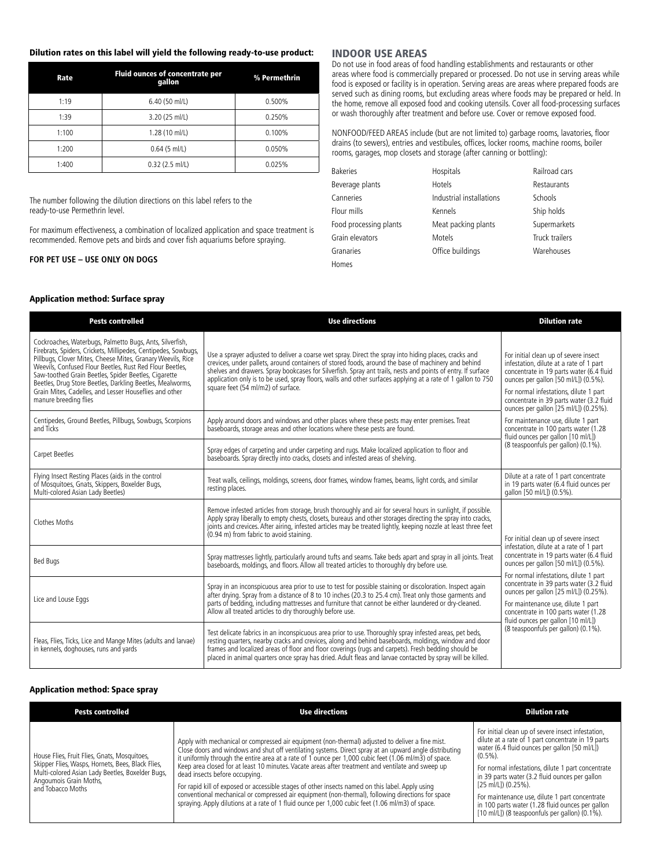#### Dilution rates on this label will yield the following ready-to-use product:

| Rate  | Fluid ounces of concentrate per<br>gallon | % Permethrin |
|-------|-------------------------------------------|--------------|
| 1:19  | 6.40 (50 ml/L)                            | 0.500%       |
| 1:39  | 0.250%<br>3.20 (25 ml/L)                  |              |
| 1:100 | $1.28(10$ ml/L)                           | 0.100%       |
| 1:200 | $0.64$ (5 ml/L)                           | 0.050%       |
| 1:400 | $0.32$ (2.5 ml/L)                         | 0.025%       |

The number following the dilution directions on this label refers to the ready-to-use Permethrin level.

For maximum effectiveness, a combination of localized application and space treatment is recommended. Remove pets and birds and cover fish aquariums before spraying.

#### **FOR PET USE – USE ONLY ON DOGS**

Application method: Surface spray

#### INDOOR USE AREAS

Do not use in food areas of food handling establishments and restaurants or other areas where food is commercially prepared or processed. Do not use in serving areas while food is exposed or facility is in operation. Serving areas are areas where prepared foods are served such as dining rooms, but excluding areas where foods may be prepared or held. In the home, remove all exposed food and cooking utensils. Cover all food-processing surfaces or wash thoroughly after treatment and before use. Cover or remove exposed food.

NONFOOD/FEED AREAS include (but are not limited to) garbage rooms, lavatories, floor drains (to sewers), entries and vestibules, offices, locker rooms, machine rooms, boiler rooms, garages, mop closets and storage (after canning or bottling):

| <b>Bakeries</b>        | Hospitals                | Railroad cars  |
|------------------------|--------------------------|----------------|
| Beverage plants        | Hotels                   | Restaurants    |
| Canneries              | Industrial installations | Schools        |
| Flour mills            | Kennels                  | Ship holds     |
| Food processing plants | Meat packing plants      | Supermarkets   |
| Grain elevators        | Motels                   | Truck trailers |
| Granaries              | Office buildings         | Warehouses     |
| Homes                  |                          |                |

| <b>Pests controlled</b>                                                                                                                                                                                                                                                                                                                                                                                                                                       | <b>Use directions</b>                                                                                                                                                                                                                                                                                                                                                                                                                                                              | <b>Dilution rate</b>                                                                                                                                                                                                                                                                                                                                                           |  |
|---------------------------------------------------------------------------------------------------------------------------------------------------------------------------------------------------------------------------------------------------------------------------------------------------------------------------------------------------------------------------------------------------------------------------------------------------------------|------------------------------------------------------------------------------------------------------------------------------------------------------------------------------------------------------------------------------------------------------------------------------------------------------------------------------------------------------------------------------------------------------------------------------------------------------------------------------------|--------------------------------------------------------------------------------------------------------------------------------------------------------------------------------------------------------------------------------------------------------------------------------------------------------------------------------------------------------------------------------|--|
| Cockroaches, Waterbugs, Palmetto Bugs, Ants, Silverfish,<br>Firebrats, Spiders, Crickets, Millipedes, Centipedes, Sowbugs,<br>Pillbugs, Clover Mites, Cheese Mites, Granary Weevils, Rice<br>Weevils, Confused Flour Beetles, Rust Red Flour Beetles,<br>Saw-toothed Grain Beetles, Spider Beetles, Cigarette<br>Beetles, Drug Store Beetles, Darkling Beetles, Mealworms,<br>Grain Mites, Cadelles, and Lesser Houseflies and other<br>manure breeding flies | Use a sprayer adjusted to deliver a coarse wet spray. Direct the spray into hiding places, cracks and<br>crevices, under pallets, around containers of stored foods, around the base of machinery and behind<br>shelves and drawers. Spray bookcases for Silverfish. Spray ant trails, nests and points of entry. If surface<br>application only is to be used, spray floors, walls and other surfaces applying at a rate of 1 gallon to 750<br>square feet (54 ml/m2) of surface. | For initial clean up of severe insect<br>infestation, dilute at a rate of 1 part<br>concentrate in 19 parts water (6.4 fluid<br>ounces per gallon [50 ml/L]) (0.5%).<br>For normal infestations, dilute 1 part<br>concentrate in 39 parts water (3.2 fluid<br>ounces per gallon [25 ml/L]) (0.25%).                                                                            |  |
| Centipedes, Ground Beetles, Pillbugs, Sowbugs, Scorpions<br>and Ticks                                                                                                                                                                                                                                                                                                                                                                                         | Apply around doors and windows and other places where these pests may enter premises. Treat<br>baseboards, storage areas and other locations where these pests are found.                                                                                                                                                                                                                                                                                                          | For maintenance use, dilute 1 part<br>concentrate in 100 parts water (1.28<br>fluid ounces per gallon [10 ml/L])                                                                                                                                                                                                                                                               |  |
| Carpet Beetles                                                                                                                                                                                                                                                                                                                                                                                                                                                | Spray edges of carpeting and under carpeting and rugs. Make localized application to floor and<br>baseboards. Spray directly into cracks, closets and infested areas of shelving.                                                                                                                                                                                                                                                                                                  | (8 teaspoonfuls per gallon) (0.1%).                                                                                                                                                                                                                                                                                                                                            |  |
| Flying Insect Resting Places (aids in the control<br>of Mosquitoes, Gnats, Skippers, Boxelder Bugs,<br>Multi-colored Asian Lady Beetles)                                                                                                                                                                                                                                                                                                                      | Treat walls, ceilings, moldings, screens, door frames, window frames, beams, light cords, and similar<br>resting places.                                                                                                                                                                                                                                                                                                                                                           | Dilute at a rate of 1 part concentrate<br>in 19 parts water (6.4 fluid ounces per<br>gallon [50 ml/L]) (0.5%).                                                                                                                                                                                                                                                                 |  |
| Clothes Moths                                                                                                                                                                                                                                                                                                                                                                                                                                                 | Remove infested articles from storage, brush thoroughly and air for several hours in sunlight, if possible.<br>Apply spray liberally to empty chests, closets, bureaus and other storages directing the spray into cracks,<br>joints and crevices. After airing, infested articles may be treated lightly, keeping nozzle at least three feet<br>(0.94 m) from fabric to avoid staining.                                                                                           | For initial clean up of severe insect                                                                                                                                                                                                                                                                                                                                          |  |
| <b>Bed Bugs</b>                                                                                                                                                                                                                                                                                                                                                                                                                                               | Spray mattresses lightly, particularly around tufts and seams. Take beds apart and spray in all joints. Treat<br>baseboards, moldings, and floors. Allow all treated articles to thoroughly dry before use.                                                                                                                                                                                                                                                                        | infestation, dilute at a rate of 1 part<br>concentrate in 19 parts water (6.4 fluid<br>ounces per gallon [50 ml/L]) (0.5%).<br>For normal infestations, dilute 1 part<br>concentrate in 39 parts water (3.2 fluid<br>ounces per gallon [25 ml/L]) (0.25%).<br>For maintenance use, dilute 1 part<br>concentrate in 100 parts water (1.28<br>fluid ounces per gallon [10 ml/L]) |  |
| Lice and Louse Eggs                                                                                                                                                                                                                                                                                                                                                                                                                                           | Spray in an inconspicuous area prior to use to test for possible staining or discoloration. Inspect again<br>after drying. Spray from a distance of 8 to 10 inches (20.3 to 25.4 cm). Treat only those garments and<br>parts of bedding, including mattresses and furniture that cannot be either laundered or dry-cleaned.<br>Allow all treated articles to dry thoroughly before use.                                                                                            |                                                                                                                                                                                                                                                                                                                                                                                |  |
| Fleas, Flies, Ticks, Lice and Mange Mites (adults and larvae)<br>in kennels, doghouses, runs and yards                                                                                                                                                                                                                                                                                                                                                        | Test delicate fabrics in an inconspicuous area prior to use. Thoroughly spray infested areas, pet beds,<br>resting quarters, nearby cracks and crevices, along and behind baseboards, moldings, window and door<br>frames and localized areas of floor and floor coverings (rugs and carpets). Fresh bedding should be<br>placed in animal quarters once spray has dried. Adult fleas and larvae contacted by spray will be killed.                                                | (8 teaspoonfuls per gallon) (0.1%).                                                                                                                                                                                                                                                                                                                                            |  |

#### Application method: Space spray

| <b>Pests controlled</b>                                                                                                                                                                              | <b>Use directions</b>                                                                                                                                                                                                                                                                                                                                                                                                                                                                                                                                                                                                                                                                                                                                                   | <b>Dilution rate</b>                                                                                                                                                                                                                                                                                                                                                                                                                                                     |
|------------------------------------------------------------------------------------------------------------------------------------------------------------------------------------------------------|-------------------------------------------------------------------------------------------------------------------------------------------------------------------------------------------------------------------------------------------------------------------------------------------------------------------------------------------------------------------------------------------------------------------------------------------------------------------------------------------------------------------------------------------------------------------------------------------------------------------------------------------------------------------------------------------------------------------------------------------------------------------------|--------------------------------------------------------------------------------------------------------------------------------------------------------------------------------------------------------------------------------------------------------------------------------------------------------------------------------------------------------------------------------------------------------------------------------------------------------------------------|
| House Flies, Fruit Flies, Gnats, Mosquitoes,<br>Skipper Flies, Wasps, Hornets, Bees, Black Flies,<br>Multi-colored Asian Lady Beetles, Boxelder Bugs,<br>Angoumois Grain Moths,<br>and Tobacco Moths | Apply with mechanical or compressed air equipment (non-thermal) adjusted to deliver a fine mist.<br>Close doors and windows and shut off ventilating systems. Direct spray at an upward angle distributing<br>it uniformly through the entire area at a rate of 1 ounce per 1,000 cubic feet (1.06 ml/m3) of space.<br>Keep area closed for at least 10 minutes. Vacate areas after treatment and ventilate and sweep up<br>dead insects before occupying.<br>For rapid kill of exposed or accessible stages of other insects named on this label. Apply using<br>conventional mechanical or compressed air equipment (non-thermal), following directions for space<br>spraying. Apply dilutions at a rate of 1 fluid ounce per 1,000 cubic feet (1.06 ml/m3) of space. | For initial clean up of severe insect infestation,<br>dilute at a rate of 1 part concentrate in 19 parts<br>water (6.4 fluid ounces per gallon [50 ml/L])<br>$(0.5\%)$ .<br>For normal infestations, dilute 1 part concentrate<br>in 39 parts water (3.2 fluid ounces per gallon<br>$[25 \text{ ml/L}](0.25\%).$<br>For maintenance use, dilute 1 part concentrate<br>in 100 parts water (1.28 fluid ounces per gallon<br>[10 ml/L]) (8 teaspoonfuls per gallon) (0.1%). |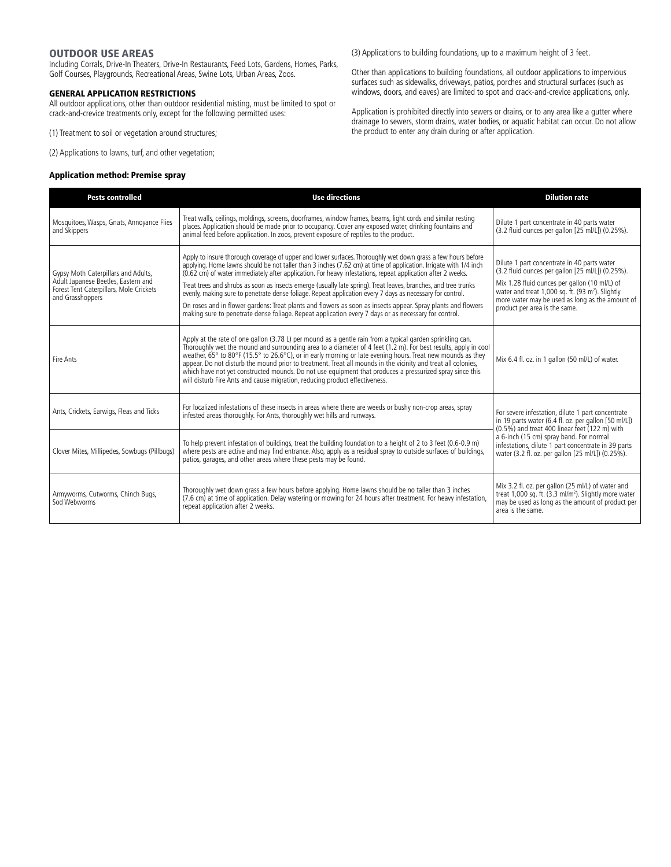## **OUTDOOR USE AREAS**

Including Corrals, Drive-In Theaters, Drive-In Restaurants, Feed Lots, Gardens, Homes, Parks, Golf Courses, Playgrounds, Recreational Areas, Swine Lots, Urban Areas, Zoos.

## GENERAL APPLICATION RESTRICTIONS

All outdoor applications, other than outdoor residential misting, must be limited to spot or crack-and-crevice treatments only, except for the following permitted uses:

(1) Treatment to soil or vegetation around structures;

(2) Applications to lawns, turf, and other vegetation;

## Application method: Premise spray

(3) Applications to building foundations, up to a maximum height of 3 feet.

Other than applications to building foundations, all outdoor applications to impervious surfaces such as sidewalks, driveways, patios, porches and structural surfaces (such as windows, doors, and eaves) are limited to spot and crack-and-crevice applications, only.

Application is prohibited directly into sewers or drains, or to any area like a gutter where drainage to sewers, storm drains, water bodies, or aquatic habitat can occur. Do not allow the product to enter any drain during or after application.

| <b>Pests controlled</b>                                                                                                                   | <b>Use directions</b>                                                                                                                                                                                                                                                                                                                                                                                                                                                                                                                                                                                                                                                                                                                                                                                  | <b>Dilution rate</b>                                                                                                                                                                                                                                                                                              |  |
|-------------------------------------------------------------------------------------------------------------------------------------------|--------------------------------------------------------------------------------------------------------------------------------------------------------------------------------------------------------------------------------------------------------------------------------------------------------------------------------------------------------------------------------------------------------------------------------------------------------------------------------------------------------------------------------------------------------------------------------------------------------------------------------------------------------------------------------------------------------------------------------------------------------------------------------------------------------|-------------------------------------------------------------------------------------------------------------------------------------------------------------------------------------------------------------------------------------------------------------------------------------------------------------------|--|
| Mosquitoes, Wasps, Gnats, Annoyance Flies<br>and Skippers                                                                                 | Treat walls, ceilings, moldings, screens, doorframes, window frames, beams, light cords and similar resting<br>places. Application should be made prior to occupancy. Cover any exposed water, drinking fountains and<br>animal feed before application. In zoos, prevent exposure of reptiles to the product.                                                                                                                                                                                                                                                                                                                                                                                                                                                                                         | Dilute 1 part concentrate in 40 parts water<br>(3.2 fluid ounces per gallon [25 ml/L]) (0.25%).                                                                                                                                                                                                                   |  |
| Gypsy Moth Caterpillars and Adults,<br>Adult Japanese Beetles, Eastern and<br>Forest Tent Caterpillars, Mole Crickets<br>and Grasshoppers | Apply to insure thorough coverage of upper and lower surfaces. Thoroughly wet down grass a few hours before<br>applying. Home lawns should be not taller than 3 inches (7.62 cm) at time of application. Irrigate with 1/4 inch<br>(0.62 cm) of water immediately after application. For heavy infestations, repeat application after 2 weeks.<br>Treat trees and shrubs as soon as insects emerge (usually late spring). Treat leaves, branches, and tree trunks<br>evenly, making sure to penetrate dense foliage. Repeat application every 7 days as necessary for control.<br>On roses and in flower gardens: Treat plants and flowers as soon as insects appear. Spray plants and flowers<br>making sure to penetrate dense foliage. Repeat application every 7 days or as necessary for control. | Dilute 1 part concentrate in 40 parts water<br>(3.2 fluid ounces per gallon [25 ml/L]) (0.25%).<br>Mix 1.28 fluid ounces per gallon (10 ml/L) of<br>water and treat 1,000 sq. ft. (93 m <sup>2</sup> ). Slightly<br>more water may be used as long as the amount of<br>product per area is the same.              |  |
| Fire Ants                                                                                                                                 | Apply at the rate of one gallon (3.78 L) per mound as a gentle rain from a typical garden sprinkling can.<br>Thoroughly wet the mound and surrounding area to a diameter of 4 feet (1.2 m). For best results, apply in cool<br>weather, 65° to 80°F (15.5° to 26.6°C), or in early morning or late evening hours. Treat new mounds as they<br>appear. Do not disturb the mound prior to treatment. Treat all mounds in the vicinity and treat all colonies,<br>which have not yet constructed mounds. Do not use equipment that produces a pressurized spray since this<br>will disturb Fire Ants and cause migration, reducing product effectiveness.                                                                                                                                                 | Mix 6.4 fl. oz. in 1 gallon (50 ml/L) of water.                                                                                                                                                                                                                                                                   |  |
| Ants, Crickets, Earwigs, Fleas and Ticks                                                                                                  | For localized infestations of these insects in areas where there are weeds or bushy non-crop areas, spray<br>infested areas thoroughly. For Ants, thoroughly wet hills and runways.                                                                                                                                                                                                                                                                                                                                                                                                                                                                                                                                                                                                                    | For severe infestation, dilute 1 part concentrate<br>in 19 parts water (6.4 fl. oz. per gallon [50 ml/L])<br>(0.5%) and treat 400 linear feet (122 m) with<br>a 6-inch (15 cm) spray band. For normal<br>infestations, dilute 1 part concentrate in 39 parts<br>water (3.2 fl. oz. per gallon [25 ml/L]) (0.25%). |  |
| Clover Mites, Millipedes, Sowbugs (Pillbugs)                                                                                              | To help prevent infestation of buildings, treat the building foundation to a height of 2 to 3 feet (0.6-0.9 m)<br>where pests are active and may find entrance. Also, apply as a residual spray to outside surfaces of buildings,<br>patios, garages, and other areas where these pests may be found.                                                                                                                                                                                                                                                                                                                                                                                                                                                                                                  |                                                                                                                                                                                                                                                                                                                   |  |
| Armyworms, Cutworms, Chinch Bugs,<br>Sod Webworms                                                                                         | Thoroughly wet down grass a few hours before applying. Home lawns should be no taller than 3 inches<br>(7.6 cm) at time of application. Delay watering or mowing for 24 hours after treatment. For heavy infestation,<br>repeat application after 2 weeks.                                                                                                                                                                                                                                                                                                                                                                                                                                                                                                                                             | Mix 3.2 fl. oz. per gallon (25 ml/L) of water and<br>treat 1,000 sq. ft. (3.3 ml/m <sup>2</sup> ). Slightly more water<br>may be used as long as the amount of product per<br>area is the same.                                                                                                                   |  |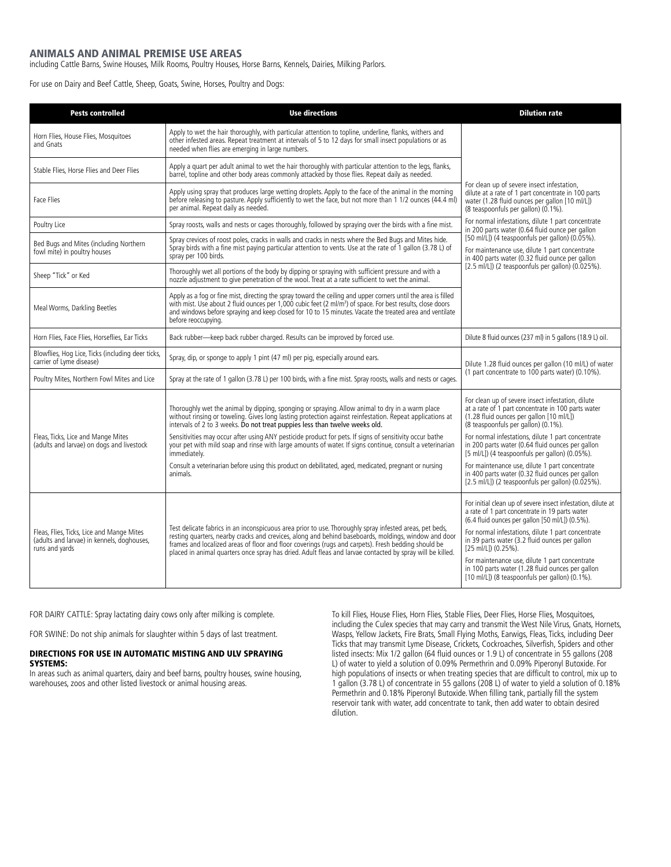## ANIMALS AND ANIMAL PREMISE USE AREAS

including Cattle Barns, Swine Houses, Milk Rooms, Poultry Houses, Horse Barns, Kennels, Dairies, Milking Parlors.

For use on Dairy and Beef Cattle, Sheep, Goats, Swine, Horses, Poultry and Dogs:

| <b>Pests controlled</b>                                                                                   | <b>Use directions</b>                                                                                                                                                                                                                                                                                                                                                                                                               | <b>Dilution rate</b>                                                                                                                                                                                                                                                                                                                               |
|-----------------------------------------------------------------------------------------------------------|-------------------------------------------------------------------------------------------------------------------------------------------------------------------------------------------------------------------------------------------------------------------------------------------------------------------------------------------------------------------------------------------------------------------------------------|----------------------------------------------------------------------------------------------------------------------------------------------------------------------------------------------------------------------------------------------------------------------------------------------------------------------------------------------------|
| Horn Flies, House Flies, Mosquitoes<br>and Gnats                                                          | Apply to wet the hair thoroughly, with particular attention to topline, underline, flanks, withers and<br>other infested areas. Repeat treatment at intervals of 5 to 12 days for small insect populations or as<br>needed when flies are emerging in large numbers.                                                                                                                                                                |                                                                                                                                                                                                                                                                                                                                                    |
| Stable Flies, Horse Flies and Deer Flies                                                                  | Apply a quart per adult animal to wet the hair thoroughly with particular attention to the legs, flanks,<br>barrel, topline and other body areas commonly attacked by those flies. Repeat daily as needed.                                                                                                                                                                                                                          |                                                                                                                                                                                                                                                                                                                                                    |
| <b>Face Flies</b>                                                                                         | Apply using spray that produces large wetting droplets. Apply to the face of the animal in the morning<br>before releasing to pasture. Apply sufficiently to wet the face, but not more than 1 1/2 ounces (44.4 ml)<br>per animal. Repeat daily as needed.                                                                                                                                                                          | For clean up of severe insect infestation,<br>dilute at a rate of 1 part concentrate in 100 parts<br>water (1.28 fluid ounces per gallon [10 ml/L])<br>(8 teaspoonfuls per gallon) (0.1%).                                                                                                                                                         |
| Poultry Lice                                                                                              | Spray roosts, walls and nests or cages thoroughly, followed by spraying over the birds with a fine mist.                                                                                                                                                                                                                                                                                                                            | For normal infestations, dilute 1 part concentrate<br>in 200 parts water (0.64 fluid ounce per gallon<br>[50 ml/L]) (4 teaspoonfuls per gallon) (0.05%).<br>For maintenance use, dilute 1 part concentrate<br>in 400 parts water (0.32 fluid ounce per gallon                                                                                      |
| Bed Bugs and Mites (including Northern<br>fowl mite) in poultry houses                                    | Spray crevices of roost poles, cracks in walls and cracks in nests where the Bed Bugs and Mites hide.<br>Spray birds with a fine mist paying particular attention to vents. Use at the rate of 1 gallon (3.78 L) of<br>spray per 100 birds.                                                                                                                                                                                         |                                                                                                                                                                                                                                                                                                                                                    |
| Sheep "Tick" or Ked                                                                                       | Thoroughly wet all portions of the body by dipping or spraying with sufficient pressure and with a<br>nozzle adjustment to give penetration of the wool. Treat at a rate sufficient to wet the animal.                                                                                                                                                                                                                              | [2.5 ml/L]) (2 teaspoonfuls per gallon) (0.025%).                                                                                                                                                                                                                                                                                                  |
| Meal Worms, Darkling Beetles                                                                              | Apply as a fog or fine mist, directing the spray toward the ceiling and upper corners until the area is filled<br>with mist. Use about 2 fluid ounces per 1,000 cubic feet (2 ml/m <sup>3</sup> ) of space. For best results, close doors<br>and windows before spraying and keep closed for 10 to 15 minutes. Vacate the treated area and ventilate<br>before reoccupying.                                                         |                                                                                                                                                                                                                                                                                                                                                    |
| Horn Flies, Face Flies, Horseflies, Ear Ticks                                                             | Back rubber-keep back rubber charged. Results can be improved by forced use.                                                                                                                                                                                                                                                                                                                                                        | Dilute 8 fluid ounces (237 ml) in 5 gallons (18.9 L) oil.                                                                                                                                                                                                                                                                                          |
| Blowflies, Hog Lice, Ticks (including deer ticks,<br>carrier of Lyme disease)                             | Spray, dip, or sponge to apply 1 pint (47 ml) per pig, especially around ears.                                                                                                                                                                                                                                                                                                                                                      | Dilute 1.28 fluid ounces per gallon (10 ml/L) of water                                                                                                                                                                                                                                                                                             |
| Poultry Mites, Northern Fowl Mites and Lice                                                               | Spray at the rate of 1 gallon (3.78 L) per 100 birds, with a fine mist. Spray roosts, walls and nests or cages.                                                                                                                                                                                                                                                                                                                     | (1 part concentrate to 100 parts water) (0.10%).                                                                                                                                                                                                                                                                                                   |
| Fleas, Ticks, Lice and Mange Mites<br>(adults and larvae) on dogs and livestock                           | Thoroughly wet the animal by dipping, sponging or spraying. Allow animal to dry in a warm place<br>without rinsing or toweling. Gives long lasting protection against reinfestation. Repeat applications at<br>intervals of 2 to 3 weeks. Do not treat puppies less than twelve weeks old.                                                                                                                                          | For clean up of severe insect infestation, dilute<br>at a rate of 1 part concentrate in 100 parts water<br>(1.28 fluid ounces per gallon [10 ml/L])<br>(8 teaspoonfuls per gallon) (0.1%).                                                                                                                                                         |
|                                                                                                           | Sensitivities may occur after using ANY pesticide product for pets. If signs of sensitivity occur bathe<br>your pet with mild soap and rinse with large amounts of water. If signs continue, consult a veterinarian<br>immediately.                                                                                                                                                                                                 | For normal infestations, dilute 1 part concentrate<br>in 200 parts water (0.64 fluid ounces per gallon<br>[5 ml/L]) (4 teaspoonfuls per gallon) (0.05%).                                                                                                                                                                                           |
|                                                                                                           | Consult a veterinarian before using this product on debilitated, aged, medicated, pregnant or nursing<br>animals.                                                                                                                                                                                                                                                                                                                   | For maintenance use, dilute 1 part concentrate<br>in 400 parts water (0.32 fluid ounces per gallon<br>[2.5 ml/L]) (2 teaspoonfuls per gallon) (0.025%).                                                                                                                                                                                            |
| Fleas, Flies, Ticks, Lice and Mange Mites<br>(adults and larvae) in kennels, doghouses,<br>runs and yards | Test delicate fabrics in an inconspicuous area prior to use. Thoroughly spray infested areas, pet beds,<br>resting quarters, nearby cracks and crevices, along and behind baseboards, moldings, window and door<br>frames and localized areas of floor and floor coverings (rugs and carpets). Fresh bedding should be<br>placed in animal quarters once spray has dried. Adult fleas and larvae contacted by spray will be killed. | For initial clean up of severe insect infestation, dilute at<br>a rate of 1 part concentrate in 19 parts water<br>(6.4 fluid ounces per gallon [50 ml/L]) (0.5%).<br>For normal infestations, dilute 1 part concentrate<br>in 39 parts water (3.2 fluid ounces per gallon<br>[25 ml/L]) (0.25%).<br>For maintenance use, dilute 1 part concentrate |
|                                                                                                           |                                                                                                                                                                                                                                                                                                                                                                                                                                     | in 100 parts water (1.28 fluid ounces per gallon<br>$(10 \text{ ml/L})$ (8 teaspoonfuls per gallon) $(0.1\%)$ .                                                                                                                                                                                                                                    |

FOR DAIRY CATTLE: Spray lactating dairy cows only after milking is complete.

FOR SWINE: Do not ship animals for slaughter within 5 days of last treatment.

#### DIRECTIONS FOR USE IN AUTOMATIC MISTING AND ULV SPRAYING SYSTEMS:

In areas such as animal quarters, dairy and beef barns, poultry houses, swine housing, warehouses, zoos and other listed livestock or animal housing areas.

To kill Flies, House Flies, Horn Flies, Stable Flies, Deer Flies, Horse Flies, Mosquitoes, including the Culex species that may carry and transmit the West Nile Virus, Gnats, Hornets, Wasps, Yellow Jackets, Fire Brats, Small Flying Moths, Earwigs, Fleas, Ticks, including Deer Ticks that may transmit Lyme Disease, Crickets, Cockroaches, Silverfish, Spiders and other listed insects: Mix 1/2 gallon (64 fluid ounces or 1.9 L) of concentrate in 55 gallons (208 L) of water to yield a solution of 0.09% Permethrin and 0.09% Piperonyl Butoxide. For high populations of insects or when treating species that are difficult to control, mix up to 1 gallon (3.78 L) of concentrate in 55 gallons (208 L) of water to yield a solution of 0.18% Permethrin and 0.18% Piperonyl Butoxide. When filling tank, partially fill the system reservoir tank with water, add concentrate to tank, then add water to obtain desired dilution.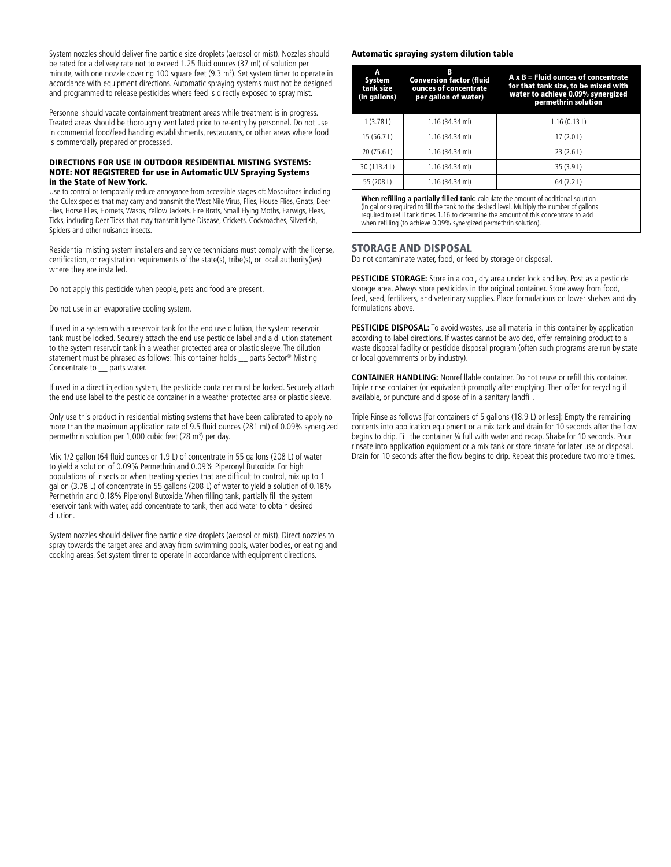System nozzles should deliver fine particle size droplets (aerosol or mist). Nozzles should be rated for a delivery rate not to exceed 1.25 fluid ounces (37 ml) of solution per minute, with one nozzle covering 100 square feet (9.3 m<sup>2</sup>). Set system timer to operate in accordance with equipment directions. Automatic spraying systems must not be designed and programmed to release pesticides where feed is directly exposed to spray mist.

Personnel should vacate containment treatment areas while treatment is in progress. Treated areas should be thoroughly ventilated prior to re-entry by personnel. Do not use in commercial food/feed handing establishments, restaurants, or other areas where food is commercially prepared or processed.

#### DIRECTIONS FOR USE IN OUTDOOR RESIDENTIAL MISTING SYSTEMS: NOTE: NOT REGISTERED for use in Automatic ULV Spraying Systems in the State of New York.

Use to control or temporarily reduce annoyance from accessible stages of: Mosquitoes including the Culex species that may carry and transmit the West Nile Virus, Flies, House Flies, Gnats, Deer Flies, Horse Flies, Hornets, Wasps, Yellow Jackets, Fire Brats, Small Flying Moths, Earwigs, Fleas, Ticks, including Deer Ticks that may transmit Lyme Disease, Crickets, Cockroaches, Silverfish, Spiders and other nuisance insects.

Residential misting system installers and service technicians must comply with the license, certification, or registration requirements of the state(s), tribe(s), or local authority(ies) where they are installed.

Do not apply this pesticide when people, pets and food are present.

Do not use in an evaporative cooling system.

If used in a system with a reservoir tank for the end use dilution, the system reservoir tank must be locked. Securely attach the end use pesticide label and a dilution statement to the system reservoir tank in a weather protected area or plastic sleeve. The dilution statement must be phrased as follows: This container holds \_\_ parts Sector® Misting Concentrate to \_\_ parts water.

If used in a direct injection system, the pesticide container must be locked. Securely attach the end use label to the pesticide container in a weather protected area or plastic sleeve.

Only use this product in residential misting systems that have been calibrated to apply no more than the maximum application rate of 9.5 fluid ounces (281 ml) of 0.09% synergized permethrin solution per 1,000 cubic feet (28 m<sup>3</sup>) per day.

Mix 1/2 gallon (64 fluid ounces or 1.9 L) of concentrate in 55 gallons (208 L) of water to yield a solution of 0.09% Permethrin and 0.09% Piperonyl Butoxide. For high populations of insects or when treating species that are difficult to control, mix up to 1 gallon (3.78 L) of concentrate in 55 gallons (208 L) of water to yield a solution of 0.18% Permethrin and 0.18% Piperonyl Butoxide. When filling tank, partially fill the system reservoir tank with water, add concentrate to tank, then add water to obtain desired dilution.

System nozzles should deliver fine particle size droplets (aerosol or mist). Direct nozzles to spray towards the target area and away from swimming pools, water bodies, or eating and cooking areas. Set system timer to operate in accordance with equipment directions.

#### Automatic spraying system dilution table

| A<br>System<br>tank size<br>(in gallons)                                            | В<br><b>Conversion factor (fluid</b><br>ounces of concentrate<br>per gallon of water) | $A \times B =$ Fluid ounces of concentrate<br>for that tank size, to be mixed with<br>water to achieve 0.09% synergized<br>permethrin solution |
|-------------------------------------------------------------------------------------|---------------------------------------------------------------------------------------|------------------------------------------------------------------------------------------------------------------------------------------------|
| 1(3.78L)                                                                            | 1.16 (34.34 ml)                                                                       | 1.16(0.13L)                                                                                                                                    |
| 15 (56.7 L)                                                                         | 1.16 (34.34 ml)                                                                       | 17 $(2.0 L)$                                                                                                                                   |
| 20 (75.6 L)                                                                         | 1.16 (34.34 ml)                                                                       | 23(2.6L)                                                                                                                                       |
| 30 (113.4L)                                                                         | 1.16 (34.34 ml)                                                                       | 35 (3.9 L)                                                                                                                                     |
| 55 (208 L)                                                                          | 1.16 (34.34 ml)                                                                       | 64 (7.2 L)                                                                                                                                     |
| When refilling a partially filled tank: calculate the amount of additional solution |                                                                                       |                                                                                                                                                |

(in gallons) required to fill the tank to the desired level. Multiply the number of gallons required to refill tank times 1.16 to determine the amount of this concentrate to add when refilling (to achieve 0.09% synergized permethrin solution).

#### STORAGE AND DISPOSAL

Do not contaminate water, food, or feed by storage or disposal.

**PESTICIDE STORAGE:** Store in a cool, dry area under lock and key. Post as a pesticide storage area. Always store pesticides in the original container. Store away from food, feed, seed, fertilizers, and veterinary supplies. Place formulations on lower shelves and dry formulations above.

PESTICIDE DISPOSAL: To avoid wastes, use all material in this container by application according to label directions. If wastes cannot be avoided, offer remaining product to a waste disposal facility or pesticide disposal program (often such programs are run by state or local governments or by industry).

**CONTAINER HANDLING:** Nonrefillable container. Do not reuse or refill this container. Triple rinse container (or equivalent) promptly after emptying. Then offer for recycling if available, or puncture and dispose of in a sanitary landfill.

Triple Rinse as follows [for containers of 5 gallons (18.9 L) or less]: Empty the remaining contents into application equipment or a mix tank and drain for 10 seconds after the flow begins to drip. Fill the container ¼ full with water and recap. Shake for 10 seconds. Pour rinsate into application equipment or a mix tank or store rinsate for later use or disposal. Drain for 10 seconds after the flow begins to drip. Repeat this procedure two more times.